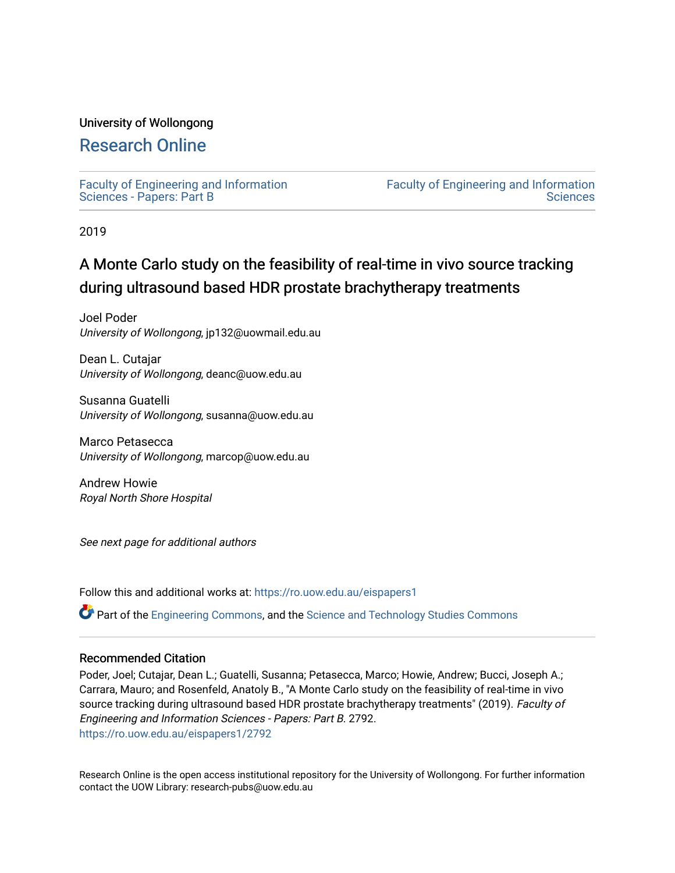### University of Wollongong

# [Research Online](https://ro.uow.edu.au/)

[Faculty of Engineering and Information](https://ro.uow.edu.au/eispapers1)  [Sciences - Papers: Part B](https://ro.uow.edu.au/eispapers1)

[Faculty of Engineering and Information](https://ro.uow.edu.au/eis)  **Sciences** 

2019

# A Monte Carlo study on the feasibility of real-time in vivo source tracking during ultrasound based HDR prostate brachytherapy treatments

Joel Poder University of Wollongong, jp132@uowmail.edu.au

Dean L. Cutajar University of Wollongong, deanc@uow.edu.au

Susanna Guatelli University of Wollongong, susanna@uow.edu.au

Marco Petasecca University of Wollongong, marcop@uow.edu.au

Andrew Howie Royal North Shore Hospital

See next page for additional authors

Follow this and additional works at: [https://ro.uow.edu.au/eispapers1](https://ro.uow.edu.au/eispapers1?utm_source=ro.uow.edu.au%2Feispapers1%2F2792&utm_medium=PDF&utm_campaign=PDFCoverPages) 

Part of the [Engineering Commons](http://network.bepress.com/hgg/discipline/217?utm_source=ro.uow.edu.au%2Feispapers1%2F2792&utm_medium=PDF&utm_campaign=PDFCoverPages), and the [Science and Technology Studies Commons](http://network.bepress.com/hgg/discipline/435?utm_source=ro.uow.edu.au%2Feispapers1%2F2792&utm_medium=PDF&utm_campaign=PDFCoverPages)

### Recommended Citation

Poder, Joel; Cutajar, Dean L.; Guatelli, Susanna; Petasecca, Marco; Howie, Andrew; Bucci, Joseph A.; Carrara, Mauro; and Rosenfeld, Anatoly B., "A Monte Carlo study on the feasibility of real-time in vivo source tracking during ultrasound based HDR prostate brachytherapy treatments" (2019). Faculty of Engineering and Information Sciences - Papers: Part B. 2792. [https://ro.uow.edu.au/eispapers1/2792](https://ro.uow.edu.au/eispapers1/2792?utm_source=ro.uow.edu.au%2Feispapers1%2F2792&utm_medium=PDF&utm_campaign=PDFCoverPages)

Research Online is the open access institutional repository for the University of Wollongong. For further information contact the UOW Library: research-pubs@uow.edu.au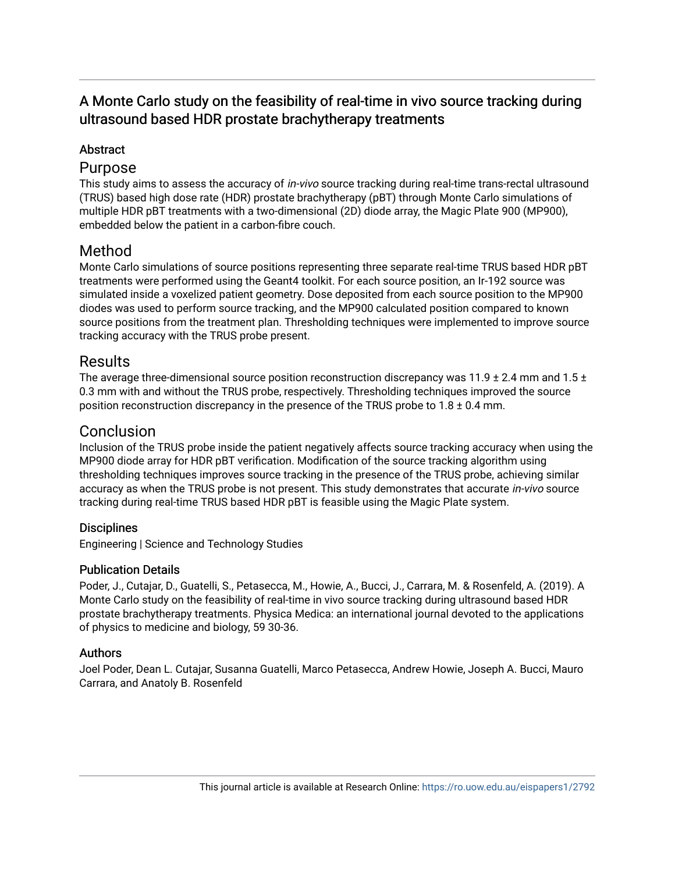# A Monte Carlo study on the feasibility of real-time in vivo source tracking during ultrasound based HDR prostate brachytherapy treatments

# **Abstract**

## Purpose

This study aims to assess the accuracy of *in-vivo* source tracking during real-time trans-rectal ultrasound (TRUS) based high dose rate (HDR) prostate brachytherapy (pBT) through Monte Carlo simulations of multiple HDR pBT treatments with a two-dimensional (2D) diode array, the Magic Plate 900 (MP900), embedded below the patient in a carbon-fibre couch.

# Method

Monte Carlo simulations of source positions representing three separate real-time TRUS based HDR pBT treatments were performed using the Geant4 toolkit. For each source position, an Ir-192 source was simulated inside a voxelized patient geometry. Dose deposited from each source position to the MP900 diodes was used to perform source tracking, and the MP900 calculated position compared to known source positions from the treatment plan. Thresholding techniques were implemented to improve source tracking accuracy with the TRUS probe present.

# Results

The average three-dimensional source position reconstruction discrepancy was 11.9  $\pm$  2.4 mm and 1.5  $\pm$ 0.3 mm with and without the TRUS probe, respectively. Thresholding techniques improved the source position reconstruction discrepancy in the presence of the TRUS probe to  $1.8 \pm 0.4$  mm.

# Conclusion

Inclusion of the TRUS probe inside the patient negatively affects source tracking accuracy when using the MP900 diode array for HDR pBT verification. Modification of the source tracking algorithm using thresholding techniques improves source tracking in the presence of the TRUS probe, achieving similar accuracy as when the TRUS probe is not present. This study demonstrates that accurate *in-vivo* source tracking during real-time TRUS based HDR pBT is feasible using the Magic Plate system.

### **Disciplines**

Engineering | Science and Technology Studies

### Publication Details

Poder, J., Cutajar, D., Guatelli, S., Petasecca, M., Howie, A., Bucci, J., Carrara, M. & Rosenfeld, A. (2019). A Monte Carlo study on the feasibility of real-time in vivo source tracking during ultrasound based HDR prostate brachytherapy treatments. Physica Medica: an international journal devoted to the applications of physics to medicine and biology, 59 30-36.

### Authors

Joel Poder, Dean L. Cutajar, Susanna Guatelli, Marco Petasecca, Andrew Howie, Joseph A. Bucci, Mauro Carrara, and Anatoly B. Rosenfeld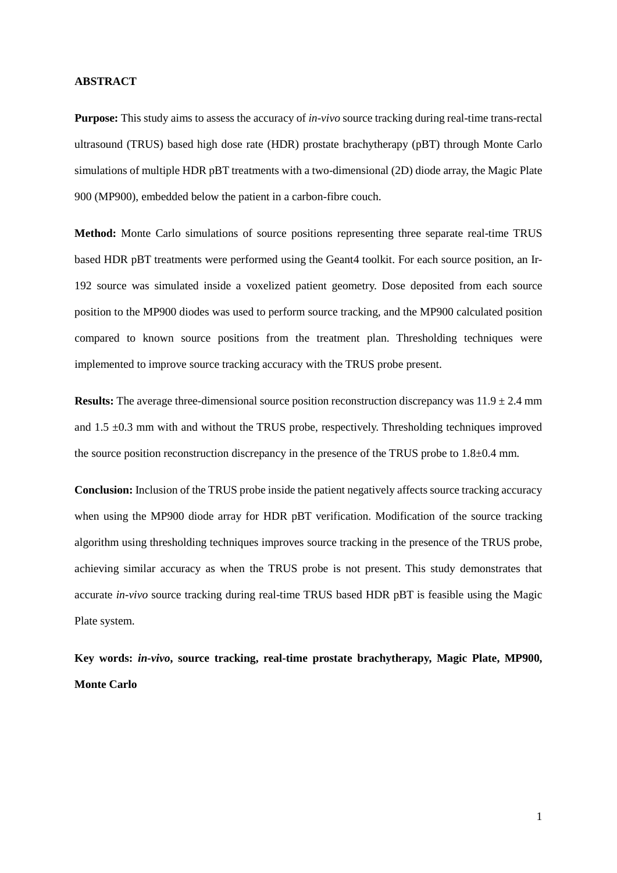#### **ABSTRACT**

**Purpose:** This study aims to assess the accuracy of *in-vivo* source tracking during real-time trans-rectal ultrasound (TRUS) based high dose rate (HDR) prostate brachytherapy (pBT) through Monte Carlo simulations of multiple HDR pBT treatments with a two-dimensional (2D) diode array, the Magic Plate 900 (MP900), embedded below the patient in a carbon-fibre couch.

**Method:** Monte Carlo simulations of source positions representing three separate real-time TRUS based HDR pBT treatments were performed using the Geant4 toolkit. For each source position, an Ir-192 source was simulated inside a voxelized patient geometry. Dose deposited from each source position to the MP900 diodes was used to perform source tracking, and the MP900 calculated position compared to known source positions from the treatment plan. Thresholding techniques were implemented to improve source tracking accuracy with the TRUS probe present.

**Results:** The average three-dimensional source position reconstruction discrepancy was  $11.9 \pm 2.4$  mm and  $1.5 \pm 0.3$  mm with and without the TRUS probe, respectively. Thresholding techniques improved the source position reconstruction discrepancy in the presence of the TRUS probe to 1.8±0.4 mm.

**Conclusion:** Inclusion of the TRUS probe inside the patient negatively affects source tracking accuracy when using the MP900 diode array for HDR pBT verification. Modification of the source tracking algorithm using thresholding techniques improves source tracking in the presence of the TRUS probe, achieving similar accuracy as when the TRUS probe is not present. This study demonstrates that accurate *in-vivo* source tracking during real-time TRUS based HDR pBT is feasible using the Magic Plate system.

**Key words:** *in-vivo***, source tracking, real-time prostate brachytherapy, Magic Plate, MP900, Monte Carlo**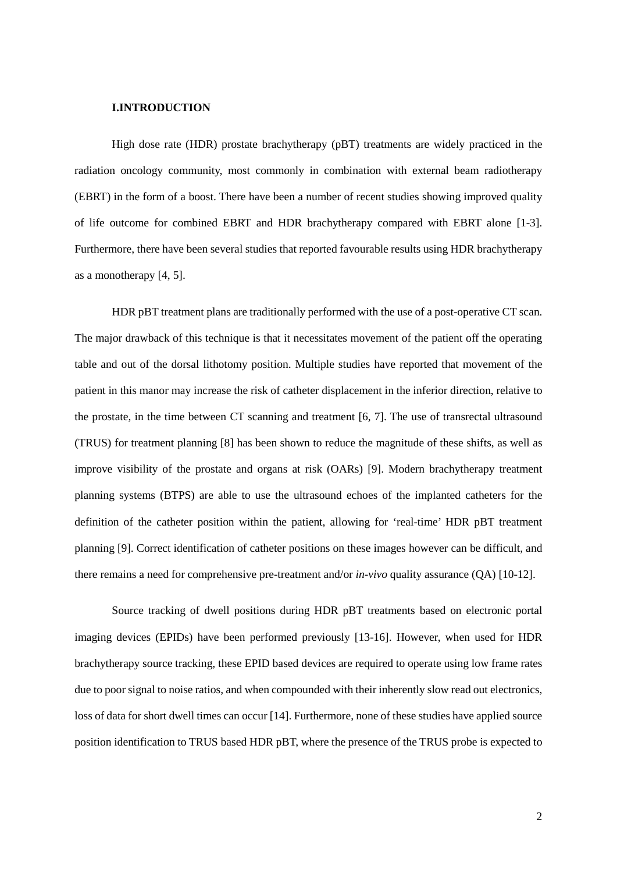### **I.INTRODUCTION**

High dose rate (HDR) prostate brachytherapy (pBT) treatments are widely practiced in the radiation oncology community, most commonly in combination with external beam radiotherapy (EBRT) in the form of a boost. There have been a number of recent studies showing improved quality of life outcome for combined EBRT and HDR brachytherapy compared with EBRT alone [\[1-3\]](#page-19-0). Furthermore, there have been several studies that reported favourable results using HDR brachytherapy as a monotherapy [\[4,](#page-19-1) [5\]](#page-19-2).

HDR pBT treatment plans are traditionally performed with the use of a post-operative CT scan. The major drawback of this technique is that it necessitates movement of the patient off the operating table and out of the dorsal lithotomy position. Multiple studies have reported that movement of the patient in this manor may increase the risk of catheter displacement in the inferior direction, relative to the prostate, in the time between CT scanning and treatment [\[6,](#page-19-3) [7\]](#page-19-4). The use of transrectal ultrasound (TRUS) for treatment planning [\[8\]](#page-19-5) has been shown to reduce the magnitude of these shifts, as well as improve visibility of the prostate and organs at risk (OARs) [\[9\]](#page-19-6). Modern brachytherapy treatment planning systems (BTPS) are able to use the ultrasound echoes of the implanted catheters for the definition of the catheter position within the patient, allowing for 'real-time' HDR pBT treatment planning [\[9\]](#page-19-6). Correct identification of catheter positions on these images however can be difficult, and there remains a need for comprehensive pre-treatment and/or *in-vivo* quality assurance (QA) [\[10-12\]](#page-20-0).

Source tracking of dwell positions during HDR pBT treatments based on electronic portal imaging devices (EPIDs) have been performed previously [\[13-16\]](#page-20-1). However, when used for HDR brachytherapy source tracking, these EPID based devices are required to operate using low frame rates due to poor signal to noise ratios, and when compounded with their inherently slow read out electronics, loss of data for short dwell times can occur [\[14\]](#page-20-2). Furthermore, none of these studies have applied source position identification to TRUS based HDR pBT, where the presence of the TRUS probe is expected to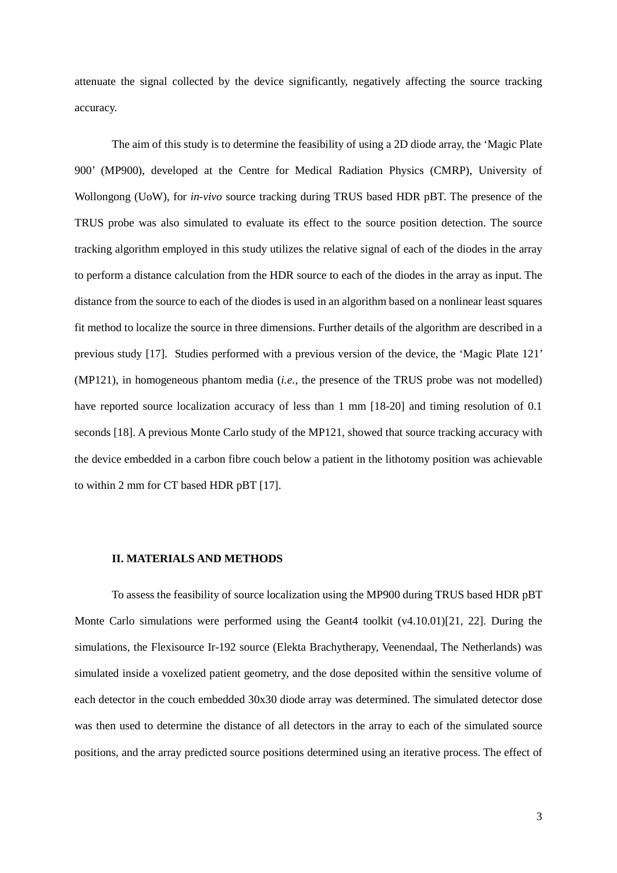attenuate the signal collected by the device significantly, negatively affecting the source tracking accuracy.

The aim of this study is to determine the feasibility of using a 2D diode array, the 'Magic Plate 900' (MP900), developed at the Centre for Medical Radiation Physics (CMRP), University of Wollongong (UoW), for *in-vivo* source tracking during TRUS based HDR pBT. The presence of the TRUS probe was also simulated to evaluate its effect to the source position detection. The source tracking algorithm employed in this study utilizes the relative signal of each of the diodes in the array to perform a distance calculation from the HDR source to each of the diodes in the array as input. The distance from the source to each of the diodes is used in an algorithm based on a nonlinear least squares fit method to localize the source in three dimensions. Further details of the algorithm are described in a previous study [\[17\]](#page-20-3). Studies performed with a previous version of the device, the 'Magic Plate 121' (MP121), in homogeneous phantom media (*i.e.*, the presence of the TRUS probe was not modelled) have reported source localization accuracy of less than 1 mm [\[18-20\]](#page-20-4) and timing resolution of 0.1 seconds [\[18\]](#page-20-4). A previous Monte Carlo study of the MP121, showed that source tracking accuracy with the device embedded in a carbon fibre couch below a patient in the lithotomy position was achievable to within 2 mm for CT based HDR pBT [\[17\]](#page-20-3).

#### **II. MATERIALS AND METHODS**

To assess the feasibility of source localization using the MP900 during TRUS based HDR pBT Monte Carlo simulations were performed using the Geant4 toolkit (v4.10.01)[\[21,](#page-21-0) [22\]](#page-21-1). During the simulations, the Flexisource Ir-192 source (Elekta Brachytherapy, Veenendaal, The Netherlands) was simulated inside a voxelized patient geometry, and the dose deposited within the sensitive volume of each detector in the couch embedded 30x30 diode array was determined. The simulated detector dose was then used to determine the distance of all detectors in the array to each of the simulated source positions, and the array predicted source positions determined using an iterative process. The effect of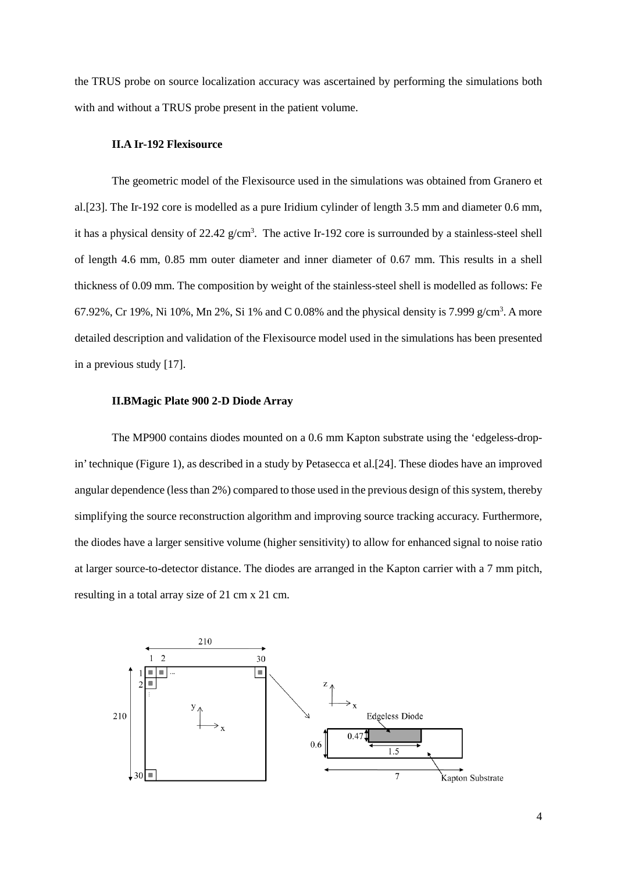the TRUS probe on source localization accuracy was ascertained by performing the simulations both with and without a TRUS probe present in the patient volume.

### **II.A Ir-192 Flexisource**

The geometric model of the Flexisource used in the simulations was obtained from Granero et al.[\[23\]](#page-21-2). The Ir-192 core is modelled as a pure Iridium cylinder of length 3.5 mm and diameter 0.6 mm, it has a physical density of  $22.42$  g/cm<sup>3</sup>. The active Ir-192 core is surrounded by a stainless-steel shell of length 4.6 mm, 0.85 mm outer diameter and inner diameter of 0.67 mm. This results in a shell thickness of 0.09 mm. The composition by weight of the stainless-steel shell is modelled as follows: Fe 67.92%, Cr 19%, Ni 10%, Mn 2%, Si 1% and C 0.08% and the physical density is 7.999  $g/cm<sup>3</sup>$ . A more detailed description and validation of the Flexisource model used in the simulations has been presented in a previous study [\[17\]](#page-20-3).

#### **II.BMagic Plate 900 2-D Diode Array**

The MP900 contains diodes mounted on a 0.6 mm Kapton substrate using the 'edgeless-dropin' technique (Figure 1), as described in a study by Petasecca et al.[\[24\]](#page-21-3). These diodes have an improved angular dependence (less than 2%) compared to those used in the previous design of this system, thereby simplifying the source reconstruction algorithm and improving source tracking accuracy. Furthermore, the diodes have a larger sensitive volume (higher sensitivity) to allow for enhanced signal to noise ratio at larger source-to-detector distance. The diodes are arranged in the Kapton carrier with a 7 mm pitch, resulting in a total array size of 21 cm x 21 cm.

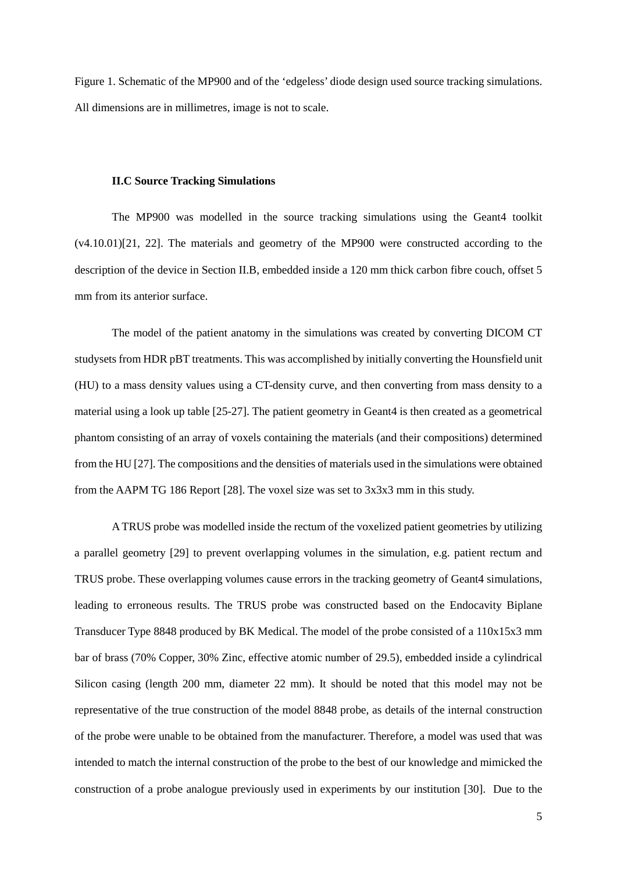Figure 1. Schematic of the MP900 and of the 'edgeless' diode design used source tracking simulations. All dimensions are in millimetres, image is not to scale.

#### **II.C Source Tracking Simulations**

The MP900 was modelled in the source tracking simulations using the Geant4 toolkit (v4.10.01)[\[21,](#page-21-0) [22\]](#page-21-1). The materials and geometry of the MP900 were constructed according to the description of the device in Section II.B, embedded inside a 120 mm thick carbon fibre couch, offset 5 mm from its anterior surface.

The model of the patient anatomy in the simulations was created by converting DICOM CT studysets from HDR pBT treatments. This was accomplished by initially converting the Hounsfield unit (HU) to a mass density values using a CT-density curve, and then converting from mass density to a material using a look up table [\[25-27\]](#page-21-4). The patient geometry in Geant4 is then created as a geometrical phantom consisting of an array of voxels containing the materials (and their compositions) determined from the HU [\[27\]](#page-21-5). The compositions and the densities of materials used in the simulations were obtained from the AAPM TG 186 Report [\[28\]](#page-21-6). The voxel size was set to 3x3x3 mm in this study.

A TRUS probe was modelled inside the rectum of the voxelized patient geometries by utilizing a parallel geometry [\[29\]](#page-22-0) to prevent overlapping volumes in the simulation, e.g. patient rectum and TRUS probe. These overlapping volumes cause errors in the tracking geometry of Geant4 simulations, leading to erroneous results. The TRUS probe was constructed based on the Endocavity Biplane Transducer Type 8848 produced by BK Medical. The model of the probe consisted of a 110x15x3 mm bar of brass (70% Copper, 30% Zinc, effective atomic number of 29.5), embedded inside a cylindrical Silicon casing (length 200 mm, diameter 22 mm). It should be noted that this model may not be representative of the true construction of the model 8848 probe, as details of the internal construction of the probe were unable to be obtained from the manufacturer. Therefore, a model was used that was intended to match the internal construction of the probe to the best of our knowledge and mimicked the construction of a probe analogue previously used in experiments by our institution [\[30\]](#page-22-1). Due to the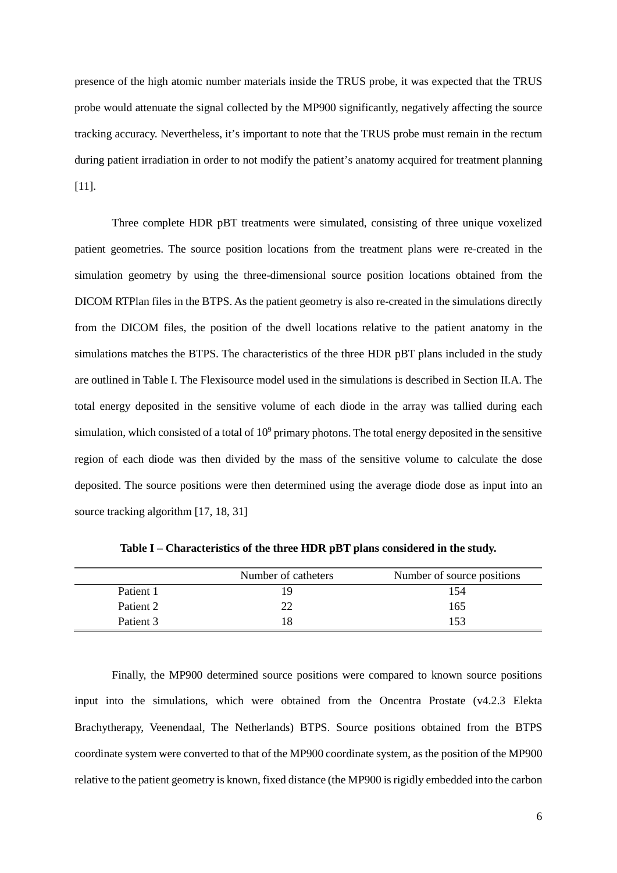presence of the high atomic number materials inside the TRUS probe, it was expected that the TRUS probe would attenuate the signal collected by the MP900 significantly, negatively affecting the source tracking accuracy. Nevertheless, it's important to note that the TRUS probe must remain in the rectum during patient irradiation in order to not modify the patient's anatomy acquired for treatment planning [\[11\]](#page-20-5).

Three complete HDR pBT treatments were simulated, consisting of three unique voxelized patient geometries. The source position locations from the treatment plans were re-created in the simulation geometry by using the three-dimensional source position locations obtained from the DICOM RTPlan files in the BTPS. As the patient geometry is also re-created in the simulations directly from the DICOM files, the position of the dwell locations relative to the patient anatomy in the simulations matches the BTPS. The characteristics of the three HDR pBT plans included in the study are outlined in Table I. The Flexisource model used in the simulations is described in Section II.A. The total energy deposited in the sensitive volume of each diode in the array was tallied during each simulation, which consisted of a total of  $10<sup>9</sup>$  primary photons. The total energy deposited in the sensitive region of each diode was then divided by the mass of the sensitive volume to calculate the dose deposited. The source positions were then determined using the average diode dose as input into an source tracking algorithm [\[17,](#page-20-3) [18,](#page-20-4) [31\]](#page-22-2)

|           | Number of catheters | Number of source positions |
|-----------|---------------------|----------------------------|
| Patient 1 | 19                  | 154                        |
| Patient 2 | າາ                  | 165                        |
| Patient 3 | 18                  | 153                        |

**Table I – Characteristics of the three HDR pBT plans considered in the study.**

Finally, the MP900 determined source positions were compared to known source positions input into the simulations, which were obtained from the Oncentra Prostate (v4.2.3 Elekta Brachytherapy, Veenendaal, The Netherlands) BTPS. Source positions obtained from the BTPS coordinate system were converted to that of the MP900 coordinate system, as the position of the MP900 relative to the patient geometry is known, fixed distance (the MP900 is rigidly embedded into the carbon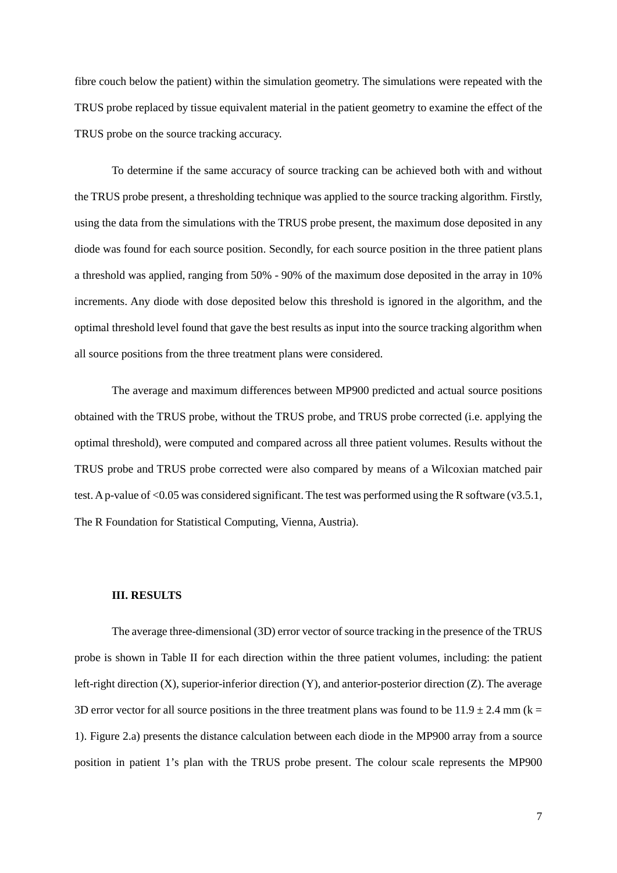fibre couch below the patient) within the simulation geometry. The simulations were repeated with the TRUS probe replaced by tissue equivalent material in the patient geometry to examine the effect of the TRUS probe on the source tracking accuracy.

To determine if the same accuracy of source tracking can be achieved both with and without the TRUS probe present, a thresholding technique was applied to the source tracking algorithm. Firstly, using the data from the simulations with the TRUS probe present, the maximum dose deposited in any diode was found for each source position. Secondly, for each source position in the three patient plans a threshold was applied, ranging from 50% - 90% of the maximum dose deposited in the array in 10% increments. Any diode with dose deposited below this threshold is ignored in the algorithm, and the optimal threshold level found that gave the best results as input into the source tracking algorithm when all source positions from the three treatment plans were considered.

The average and maximum differences between MP900 predicted and actual source positions obtained with the TRUS probe, without the TRUS probe, and TRUS probe corrected (i.e. applying the optimal threshold), were computed and compared across all three patient volumes. Results without the TRUS probe and TRUS probe corrected were also compared by means of a Wilcoxian matched pair test. A p-value of <0.05 was considered significant. The test was performed using the R software (v3.5.1, The R Foundation for Statistical Computing, Vienna, Austria).

### **III. RESULTS**

The average three-dimensional (3D) error vector of source tracking in the presence of the TRUS probe is shown in Table II for each direction within the three patient volumes, including: the patient left-right direction (X), superior-inferior direction (Y), and anterior-posterior direction (Z). The average 3D error vector for all source positions in the three treatment plans was found to be  $11.9 \pm 2.4$  mm (k = 1). Figure 2.a) presents the distance calculation between each diode in the MP900 array from a source position in patient 1's plan with the TRUS probe present. The colour scale represents the MP900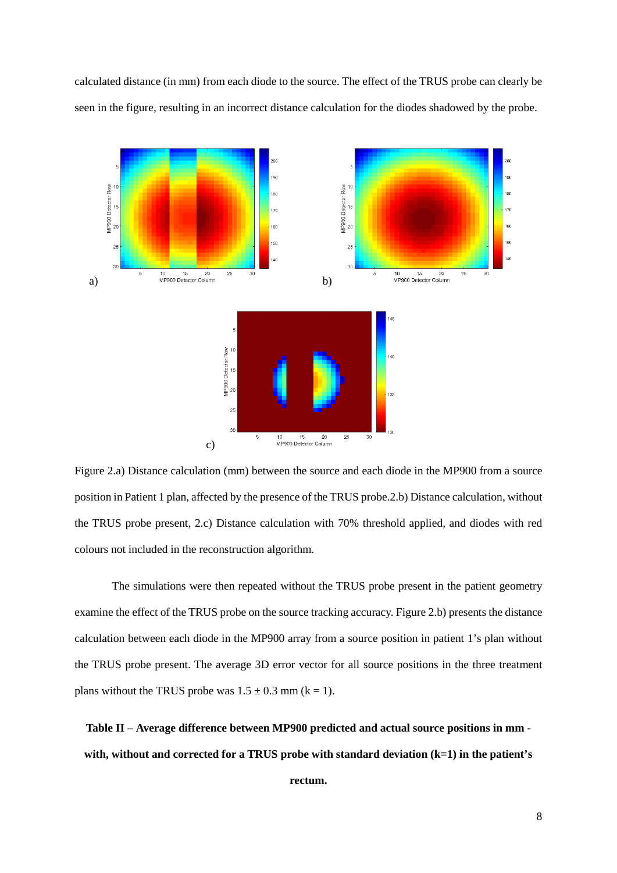calculated distance (in mm) from each diode to the source. The effect of the TRUS probe can clearly be seen in the figure, resulting in an incorrect distance calculation for the diodes shadowed by the probe.



Figure 2.a) Distance calculation (mm) between the source and each diode in the MP900 from a source position in Patient 1 plan, affected by the presence of the TRUS probe.2.b) Distance calculation, without the TRUS probe present, 2.c) Distance calculation with 70% threshold applied, and diodes with red colours not included in the reconstruction algorithm.

The simulations were then repeated without the TRUS probe present in the patient geometry examine the effect of the TRUS probe on the source tracking accuracy. Figure 2.b) presents the distance calculation between each diode in the MP900 array from a source position in patient 1's plan without the TRUS probe present. The average 3D error vector for all source positions in the three treatment plans without the TRUS probe was  $1.5 \pm 0.3$  mm (k = 1).

**Table II – Average difference between MP900 predicted and actual source positions in mm with, without and corrected for a TRUS probe with standard deviation (k=1) in the patient's** 

**rectum.**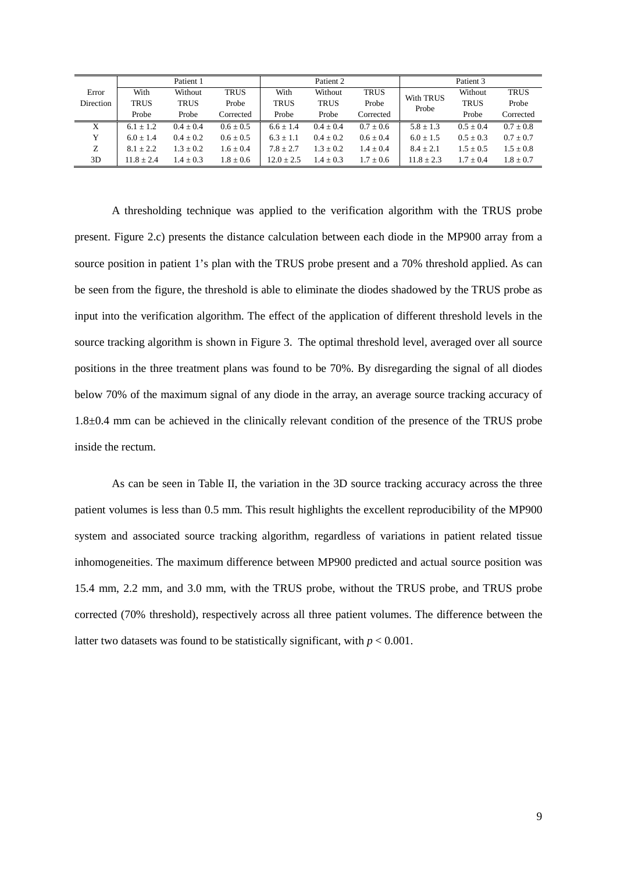|           |               | Patient 1     |               |                | Patient 2     |               |               | Patient 3   |               |
|-----------|---------------|---------------|---------------|----------------|---------------|---------------|---------------|-------------|---------------|
| Error     | With          | Without       | <b>TRUS</b>   | With           | Without       | <b>TRUS</b>   | With TRUS     | Without     | <b>TRUS</b>   |
| Direction | <b>TRUS</b>   | <b>TRUS</b>   | Probe         | <b>TRUS</b>    | <b>TRUS</b>   | Probe         | Probe         | <b>TRUS</b> | Probe         |
|           | Probe         | Probe         | Corrected     | Probe          | Probe         | Corrected     |               | Probe       | Corrected     |
| X         | $6.1 \pm 1.2$ | $0.4 + 0.4$   | $0.6 \pm 0.5$ | $6.6 \pm 1.4$  | $0.4 + 0.4$   | $0.7 \pm 0.6$ | $5.8 \pm 1.3$ | $0.5 + 0.4$ | $0.7 \pm 0.8$ |
| Y         | $6.0 + 1.4$   | $0.4 \pm 0.2$ | $0.6 \pm 0.5$ | $6.3 + 1.1$    | $0.4 \pm 0.2$ | $0.6 \pm 0.4$ | $6.0 \pm 1.5$ | $0.5 + 0.3$ | $0.7 \pm 0.7$ |
| Z         | $8.1 \pm 2.2$ | $1.3 + 0.2$   | $1.6 \pm 0.4$ | $7.8 + 2.7$    | $1.3 \pm 0.2$ | $1.4 + 0.4$   | $8.4 + 2.1$   | $1.5 + 0.5$ | $1.5 \pm 0.8$ |
| 3D        | $11.8 + 2.4$  | $1.4 + 0.3$   | $1.8 \pm 0.6$ | $12.0 \pm 2.5$ | $1.4 \pm 0.3$ | $1.7 + 0.6$   | $11.8 + 2.3$  | $1.7 + 0.4$ | $1.8 + 0.7$   |

A thresholding technique was applied to the verification algorithm with the TRUS probe present. Figure 2.c) presents the distance calculation between each diode in the MP900 array from a source position in patient 1's plan with the TRUS probe present and a 70% threshold applied. As can be seen from the figure, the threshold is able to eliminate the diodes shadowed by the TRUS probe as input into the verification algorithm. The effect of the application of different threshold levels in the source tracking algorithm is shown in Figure 3. The optimal threshold level, averaged over all source positions in the three treatment plans was found to be 70%. By disregarding the signal of all diodes below 70% of the maximum signal of any diode in the array, an average source tracking accuracy of 1.8±0.4 mm can be achieved in the clinically relevant condition of the presence of the TRUS probe inside the rectum.

As can be seen in Table II, the variation in the 3D source tracking accuracy across the three patient volumes is less than 0.5 mm. This result highlights the excellent reproducibility of the MP900 system and associated source tracking algorithm, regardless of variations in patient related tissue inhomogeneities. The maximum difference between MP900 predicted and actual source position was 15.4 mm, 2.2 mm, and 3.0 mm, with the TRUS probe, without the TRUS probe, and TRUS probe corrected (70% threshold), respectively across all three patient volumes. The difference between the latter two datasets was found to be statistically significant, with  $p < 0.001$ .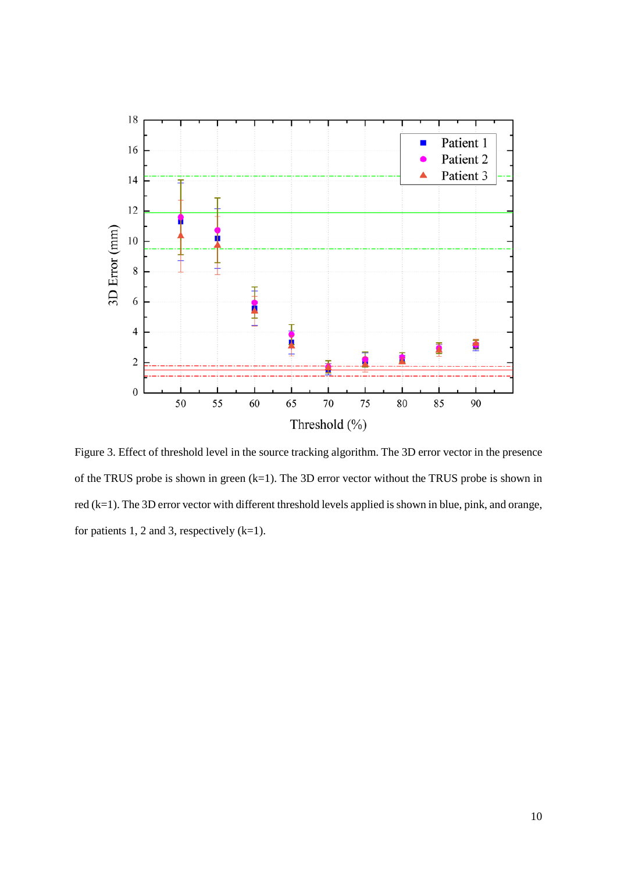

Figure 3. Effect of threshold level in the source tracking algorithm. The 3D error vector in the presence of the TRUS probe is shown in green  $(k=1)$ . The 3D error vector without the TRUS probe is shown in red (k=1). The 3D error vector with different threshold levels applied is shown in blue, pink, and orange, for patients 1, 2 and 3, respectively  $(k=1)$ .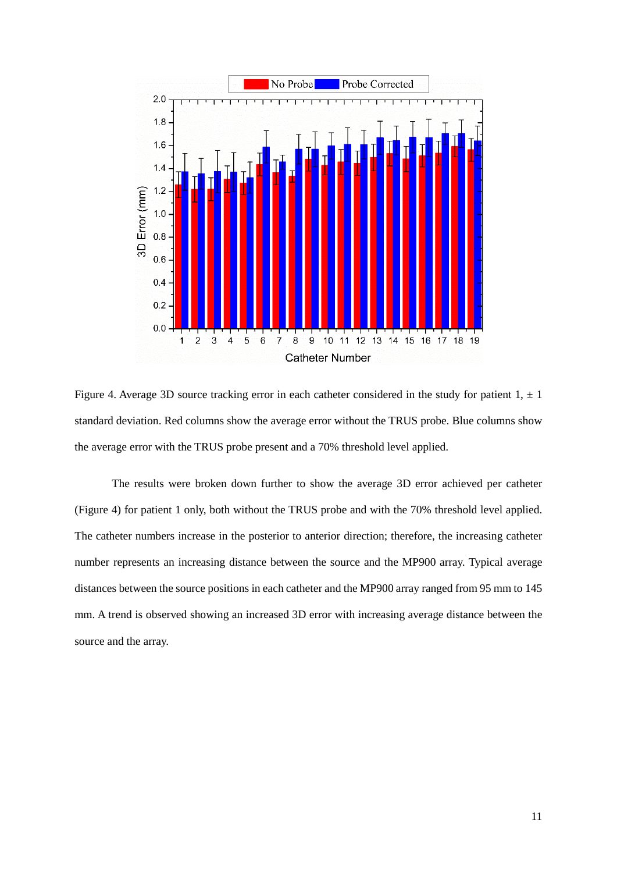

Figure 4. Average 3D source tracking error in each catheter considered in the study for patient  $1, \pm 1$ standard deviation. Red columns show the average error without the TRUS probe. Blue columns show the average error with the TRUS probe present and a 70% threshold level applied.

The results were broken down further to show the average 3D error achieved per catheter (Figure 4) for patient 1 only, both without the TRUS probe and with the 70% threshold level applied. The catheter numbers increase in the posterior to anterior direction; therefore, the increasing catheter number represents an increasing distance between the source and the MP900 array. Typical average distances between the source positions in each catheter and the MP900 array ranged from 95 mm to 145 mm. A trend is observed showing an increased 3D error with increasing average distance between the source and the array.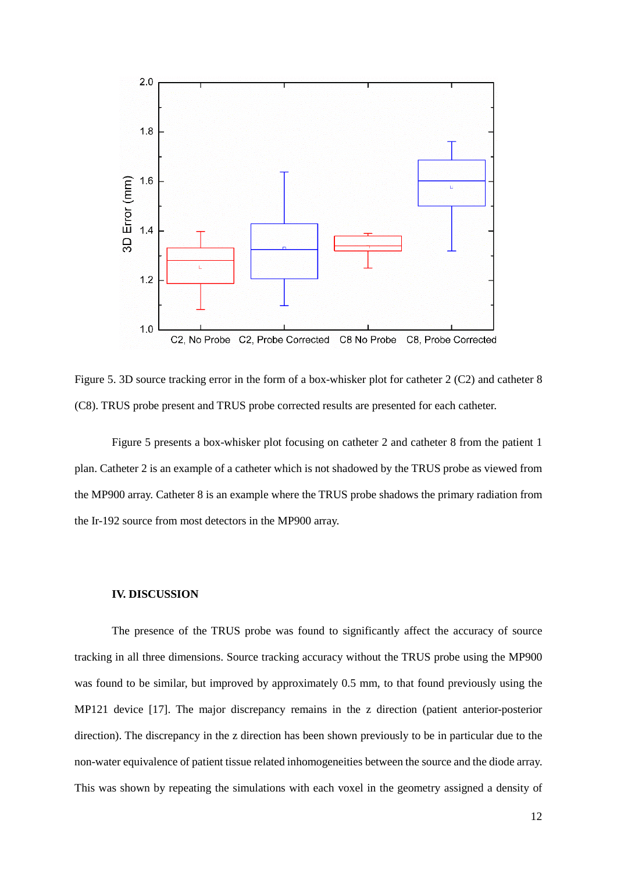

Figure 5. 3D source tracking error in the form of a box-whisker plot for catheter 2 (C2) and catheter 8 (C8). TRUS probe present and TRUS probe corrected results are presented for each catheter.

Figure 5 presents a box-whisker plot focusing on catheter 2 and catheter 8 from the patient 1 plan. Catheter 2 is an example of a catheter which is not shadowed by the TRUS probe as viewed from the MP900 array. Catheter 8 is an example where the TRUS probe shadows the primary radiation from the Ir-192 source from most detectors in the MP900 array.

#### **IV. DISCUSSION**

The presence of the TRUS probe was found to significantly affect the accuracy of source tracking in all three dimensions. Source tracking accuracy without the TRUS probe using the MP900 was found to be similar, but improved by approximately 0.5 mm, to that found previously using the MP121 device [\[17\]](#page-20-3). The major discrepancy remains in the z direction (patient anterior-posterior direction). The discrepancy in the z direction has been shown previously to be in particular due to the non-water equivalence of patient tissue related inhomogeneities between the source and the diode array. This was shown by repeating the simulations with each voxel in the geometry assigned a density of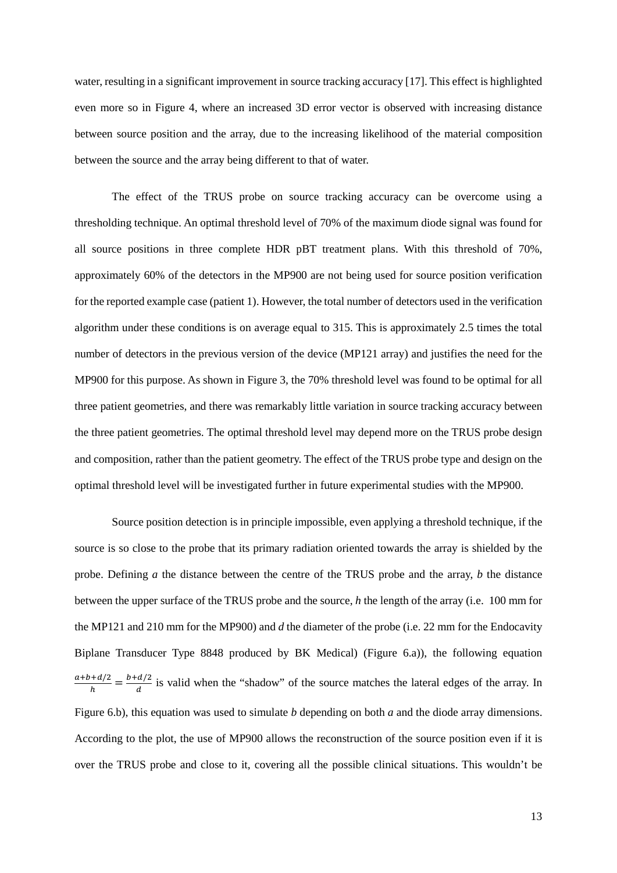water, resulting in a significant improvement in source tracking accuracy [\[17\]](#page-20-3). This effect is highlighted even more so in Figure 4, where an increased 3D error vector is observed with increasing distance between source position and the array, due to the increasing likelihood of the material composition between the source and the array being different to that of water.

The effect of the TRUS probe on source tracking accuracy can be overcome using a thresholding technique. An optimal threshold level of 70% of the maximum diode signal was found for all source positions in three complete HDR pBT treatment plans. With this threshold of 70%, approximately 60% of the detectors in the MP900 are not being used for source position verification for the reported example case (patient 1). However, the total number of detectors used in the verification algorithm under these conditions is on average equal to 315. This is approximately 2.5 times the total number of detectors in the previous version of the device (MP121 array) and justifies the need for the MP900 for this purpose. As shown in Figure 3, the 70% threshold level was found to be optimal for all three patient geometries, and there was remarkably little variation in source tracking accuracy between the three patient geometries. The optimal threshold level may depend more on the TRUS probe design and composition, rather than the patient geometry. The effect of the TRUS probe type and design on the optimal threshold level will be investigated further in future experimental studies with the MP900.

Source position detection is in principle impossible, even applying a threshold technique, if the source is so close to the probe that its primary radiation oriented towards the array is shielded by the probe. Defining *a* the distance between the centre of the TRUS probe and the array, *b* the distance between the upper surface of the TRUS probe and the source, *h* the length of the array (i.e. 100 mm for the MP121 and 210 mm for the MP900) and *d* the diameter of the probe (i.e. 22 mm for the Endocavity Biplane Transducer Type 8848 produced by BK Medical) (Figure 6.a)), the following equation  $\frac{a+b+a/2}{h} = \frac{b+a/2}{d}$  is valid when the "shadow" of the source matches the lateral edges of the array. In Figure 6.b), this equation was used to simulate *b* depending on both *a* and the diode array dimensions. According to the plot, the use of MP900 allows the reconstruction of the source position even if it is over the TRUS probe and close to it, covering all the possible clinical situations. This wouldn't be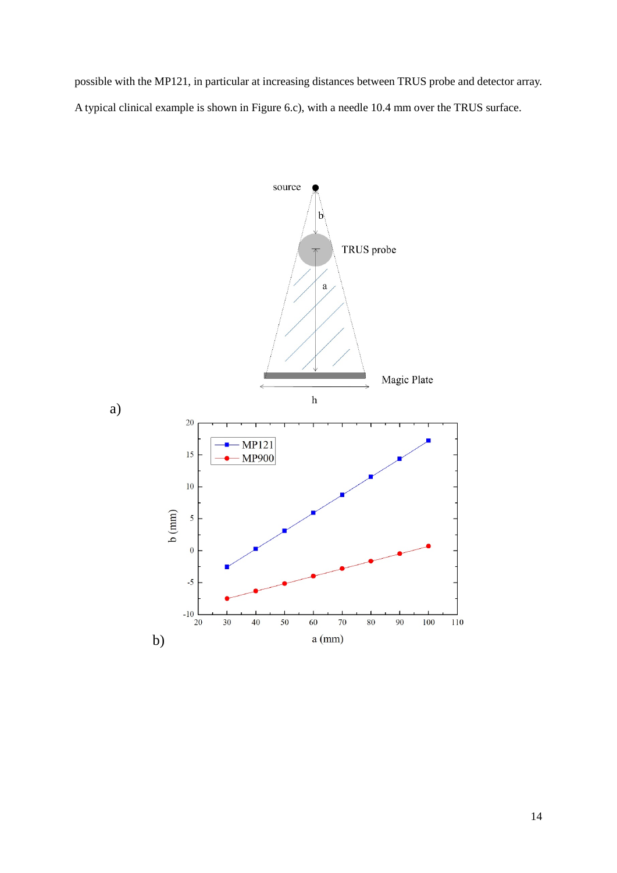possible with the MP121, in particular at increasing distances between TRUS probe and detector array. A typical clinical example is shown in Figure 6.c), with a needle 10.4 mm over the TRUS surface.

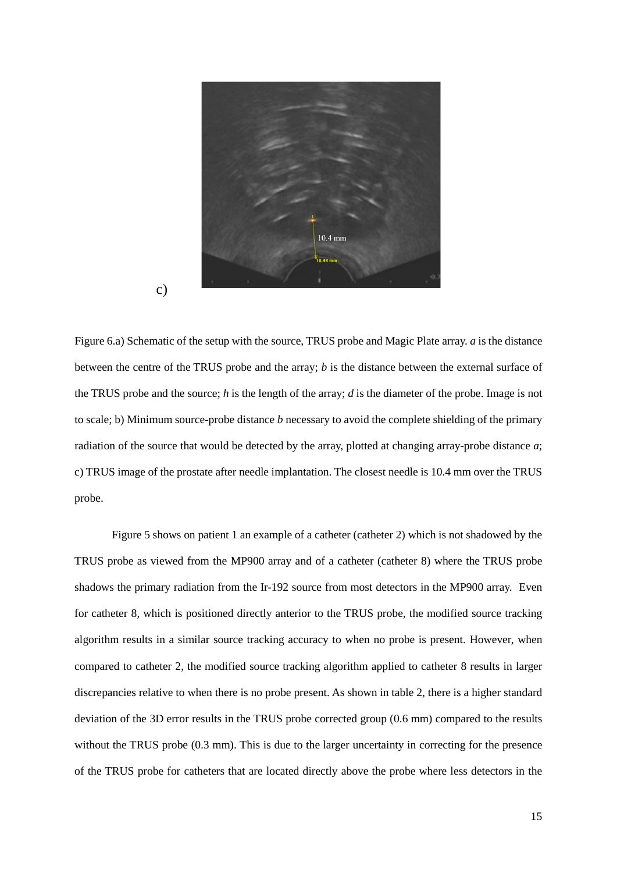

Figure 6.a) Schematic of the setup with the source, TRUS probe and Magic Plate array. *a* is the distance between the centre of the TRUS probe and the array; *b* is the distance between the external surface of the TRUS probe and the source; *h* is the length of the array; *d* is the diameter of the probe. Image is not to scale; b) Minimum source-probe distance *b* necessary to avoid the complete shielding of the primary radiation of the source that would be detected by the array, plotted at changing array-probe distance *a*; c) TRUS image of the prostate after needle implantation. The closest needle is 10.4 mm over the TRUS probe.

Figure 5 shows on patient 1 an example of a catheter (catheter 2) which is not shadowed by the TRUS probe as viewed from the MP900 array and of a catheter (catheter 8) where the TRUS probe shadows the primary radiation from the Ir-192 source from most detectors in the MP900 array. Even for catheter 8, which is positioned directly anterior to the TRUS probe, the modified source tracking algorithm results in a similar source tracking accuracy to when no probe is present. However, when compared to catheter 2, the modified source tracking algorithm applied to catheter 8 results in larger discrepancies relative to when there is no probe present. As shown in table 2, there is a higher standard deviation of the 3D error results in the TRUS probe corrected group (0.6 mm) compared to the results without the TRUS probe (0.3 mm). This is due to the larger uncertainty in correcting for the presence of the TRUS probe for catheters that are located directly above the probe where less detectors in the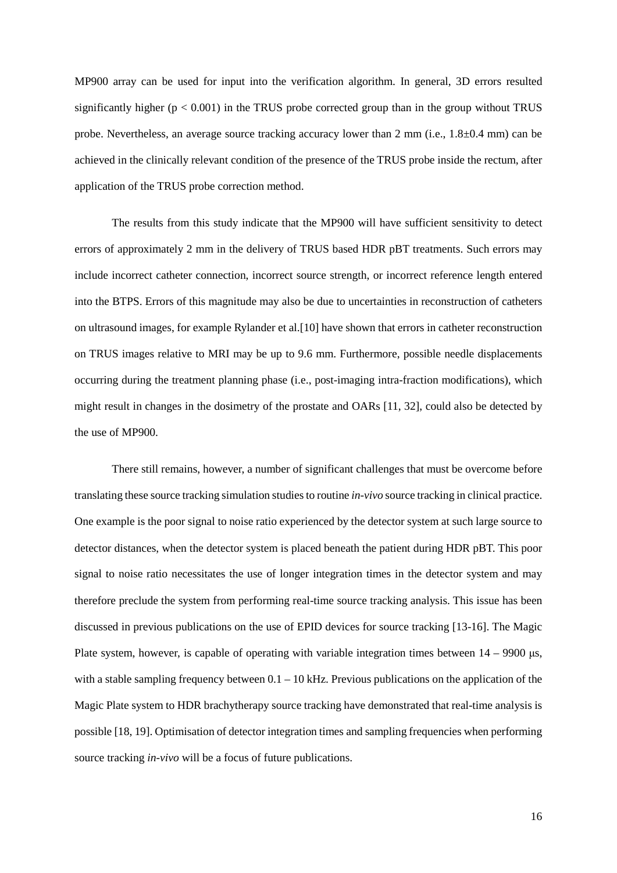MP900 array can be used for input into the verification algorithm. In general, 3D errors resulted significantly higher ( $p < 0.001$ ) in the TRUS probe corrected group than in the group without TRUS probe. Nevertheless, an average source tracking accuracy lower than 2 mm (i.e.,  $1.8\pm0.4$  mm) can be achieved in the clinically relevant condition of the presence of the TRUS probe inside the rectum, after application of the TRUS probe correction method.

The results from this study indicate that the MP900 will have sufficient sensitivity to detect errors of approximately 2 mm in the delivery of TRUS based HDR pBT treatments. Such errors may include incorrect catheter connection, incorrect source strength, or incorrect reference length entered into the BTPS. Errors of this magnitude may also be due to uncertainties in reconstruction of catheters on ultrasound images, for example Rylander et al.[\[10\]](#page-20-0) have shown that errors in catheter reconstruction on TRUS images relative to MRI may be up to 9.6 mm. Furthermore, possible needle displacements occurring during the treatment planning phase (i.e., post-imaging intra-fraction modifications), which might result in changes in the dosimetry of the prostate and OARs [\[11,](#page-20-5) [32\]](#page-22-3), could also be detected by the use of MP900.

There still remains, however, a number of significant challenges that must be overcome before translating these source tracking simulation studies to routine *in-vivo* source tracking in clinical practice. One example is the poor signal to noise ratio experienced by the detector system at such large source to detector distances, when the detector system is placed beneath the patient during HDR pBT. This poor signal to noise ratio necessitates the use of longer integration times in the detector system and may therefore preclude the system from performing real-time source tracking analysis. This issue has been discussed in previous publications on the use of EPID devices for source tracking [\[13-16\]](#page-20-1). The Magic Plate system, however, is capable of operating with variable integration times between  $14 - 9900 \,\mu s$ , with a stable sampling frequency between  $0.1 - 10$  kHz. Previous publications on the application of the Magic Plate system to HDR brachytherapy source tracking have demonstrated that real-time analysis is possible [\[18,](#page-20-4) [19\]](#page-21-7). Optimisation of detector integration times and sampling frequencies when performing source tracking *in-vivo* will be a focus of future publications.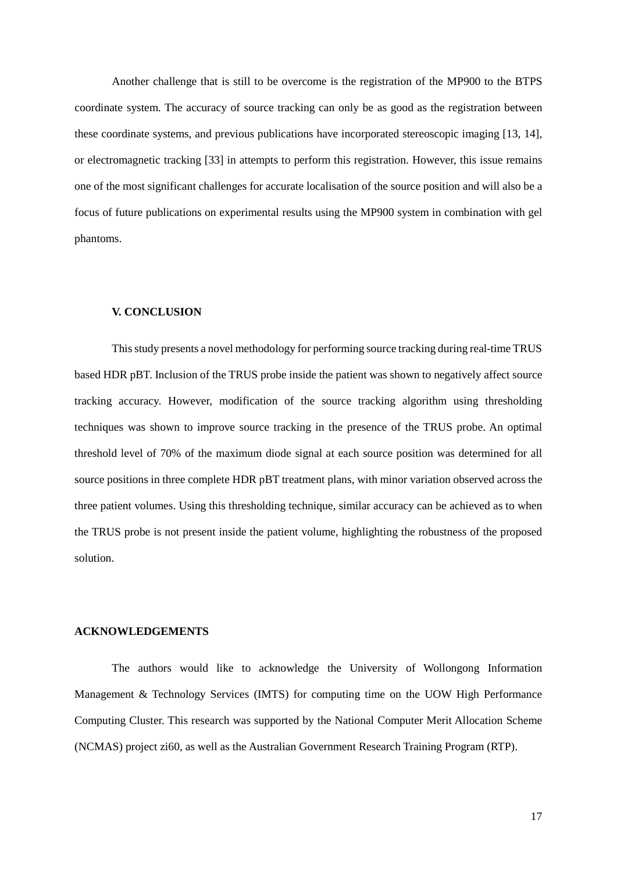Another challenge that is still to be overcome is the registration of the MP900 to the BTPS coordinate system. The accuracy of source tracking can only be as good as the registration between these coordinate systems, and previous publications have incorporated stereoscopic imaging [\[13,](#page-20-1) [14\]](#page-20-2), or electromagnetic tracking [\[33\]](#page-22-4) in attempts to perform this registration. However, this issue remains one of the most significant challenges for accurate localisation of the source position and will also be a focus of future publications on experimental results using the MP900 system in combination with gel phantoms.

### **V. CONCLUSION**

This study presents a novel methodology for performing source tracking during real-time TRUS based HDR pBT. Inclusion of the TRUS probe inside the patient was shown to negatively affect source tracking accuracy. However, modification of the source tracking algorithm using thresholding techniques was shown to improve source tracking in the presence of the TRUS probe. An optimal threshold level of 70% of the maximum diode signal at each source position was determined for all source positions in three complete HDR pBT treatment plans, with minor variation observed across the three patient volumes. Using this thresholding technique, similar accuracy can be achieved as to when the TRUS probe is not present inside the patient volume, highlighting the robustness of the proposed solution.

### **ACKNOWLEDGEMENTS**

The authors would like to acknowledge the University of Wollongong Information Management & Technology Services (IMTS) for computing time on the UOW High Performance Computing Cluster. This research was supported by the National Computer Merit Allocation Scheme (NCMAS) project zi60, as well as the Australian Government Research Training Program (RTP).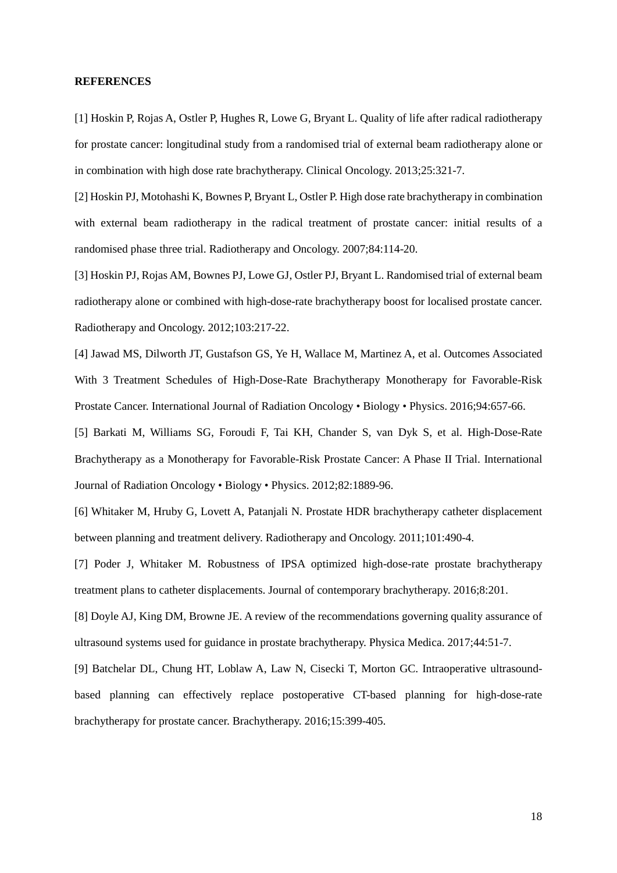#### **REFERENCES**

<span id="page-19-0"></span>[1] Hoskin P, Rojas A, Ostler P, Hughes R, Lowe G, Bryant L. Quality of life after radical radiotherapy for prostate cancer: longitudinal study from a randomised trial of external beam radiotherapy alone or in combination with high dose rate brachytherapy. Clinical Oncology. 2013;25:321-7.

[2] Hoskin PJ, Motohashi K, Bownes P, Bryant L, Ostler P. High dose rate brachytherapy in combination with external beam radiotherapy in the radical treatment of prostate cancer: initial results of a randomised phase three trial. Radiotherapy and Oncology. 2007;84:114-20.

[3] Hoskin PJ, Rojas AM, Bownes PJ, Lowe GJ, Ostler PJ, Bryant L. Randomised trial of external beam radiotherapy alone or combined with high-dose-rate brachytherapy boost for localised prostate cancer. Radiotherapy and Oncology. 2012;103:217-22.

<span id="page-19-1"></span>[4] Jawad MS, Dilworth JT, Gustafson GS, Ye H, Wallace M, Martinez A, et al. Outcomes Associated With 3 Treatment Schedules of High-Dose-Rate Brachytherapy Monotherapy for Favorable-Risk Prostate Cancer. International Journal of Radiation Oncology • Biology • Physics. 2016;94:657-66.

<span id="page-19-2"></span>[5] Barkati M, Williams SG, Foroudi F, Tai KH, Chander S, van Dyk S, et al. High-Dose-Rate Brachytherapy as a Monotherapy for Favorable-Risk Prostate Cancer: A Phase II Trial. International Journal of Radiation Oncology • Biology • Physics. 2012;82:1889-96.

<span id="page-19-3"></span>[6] Whitaker M, Hruby G, Lovett A, Patanjali N. Prostate HDR brachytherapy catheter displacement between planning and treatment delivery. Radiotherapy and Oncology. 2011;101:490-4.

<span id="page-19-4"></span>[7] Poder J, Whitaker M. Robustness of IPSA optimized high-dose-rate prostate brachytherapy treatment plans to catheter displacements. Journal of contemporary brachytherapy. 2016;8:201.

<span id="page-19-5"></span>[8] Doyle AJ, King DM, Browne JE. A review of the recommendations governing quality assurance of ultrasound systems used for guidance in prostate brachytherapy. Physica Medica. 2017;44:51-7.

<span id="page-19-6"></span>[9] Batchelar DL, Chung HT, Loblaw A, Law N, Cisecki T, Morton GC. Intraoperative ultrasoundbased planning can effectively replace postoperative CT-based planning for high-dose-rate brachytherapy for prostate cancer. Brachytherapy. 2016;15:399-405.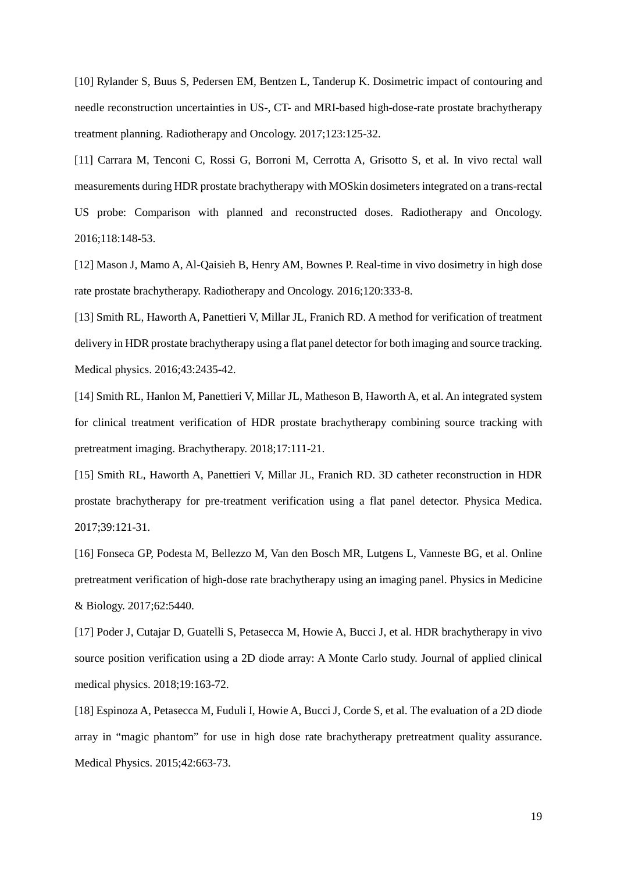<span id="page-20-0"></span>[10] Rylander S, Buus S, Pedersen EM, Bentzen L, Tanderup K. Dosimetric impact of contouring and needle reconstruction uncertainties in US-, CT- and MRI-based high-dose-rate prostate brachytherapy treatment planning. Radiotherapy and Oncology. 2017;123:125-32.

<span id="page-20-5"></span>[11] Carrara M, Tenconi C, Rossi G, Borroni M, Cerrotta A, Grisotto S, et al. In vivo rectal wall measurements during HDR prostate brachytherapy with MOSkin dosimeters integrated on a trans-rectal US probe: Comparison with planned and reconstructed doses. Radiotherapy and Oncology. 2016;118:148-53.

[12] Mason J, Mamo A, Al-Qaisieh B, Henry AM, Bownes P. Real-time in vivo dosimetry in high dose rate prostate brachytherapy. Radiotherapy and Oncology. 2016;120:333-8.

<span id="page-20-1"></span>[13] Smith RL, Haworth A, Panettieri V, Millar JL, Franich RD. A method for verification of treatment delivery in HDR prostate brachytherapy using a flat panel detector for both imaging and source tracking. Medical physics. 2016;43:2435-42.

<span id="page-20-2"></span>[14] Smith RL, Hanlon M, Panettieri V, Millar JL, Matheson B, Haworth A, et al. An integrated system for clinical treatment verification of HDR prostate brachytherapy combining source tracking with pretreatment imaging. Brachytherapy. 2018;17:111-21.

[15] Smith RL, Haworth A, Panettieri V, Millar JL, Franich RD. 3D catheter reconstruction in HDR prostate brachytherapy for pre-treatment verification using a flat panel detector. Physica Medica. 2017;39:121-31.

[16] Fonseca GP, Podesta M, Bellezzo M, Van den Bosch MR, Lutgens L, Vanneste BG, et al. Online pretreatment verification of high-dose rate brachytherapy using an imaging panel. Physics in Medicine & Biology. 2017;62:5440.

<span id="page-20-3"></span>[17] Poder J, Cutajar D, Guatelli S, Petasecca M, Howie A, Bucci J, et al. HDR brachytherapy in vivo source position verification using a 2D diode array: A Monte Carlo study. Journal of applied clinical medical physics. 2018;19:163-72.

<span id="page-20-4"></span>[18] Espinoza A, Petasecca M, Fuduli I, Howie A, Bucci J, Corde S, et al. The evaluation of a 2D diode array in "magic phantom" for use in high dose rate brachytherapy pretreatment quality assurance. Medical Physics. 2015;42:663-73.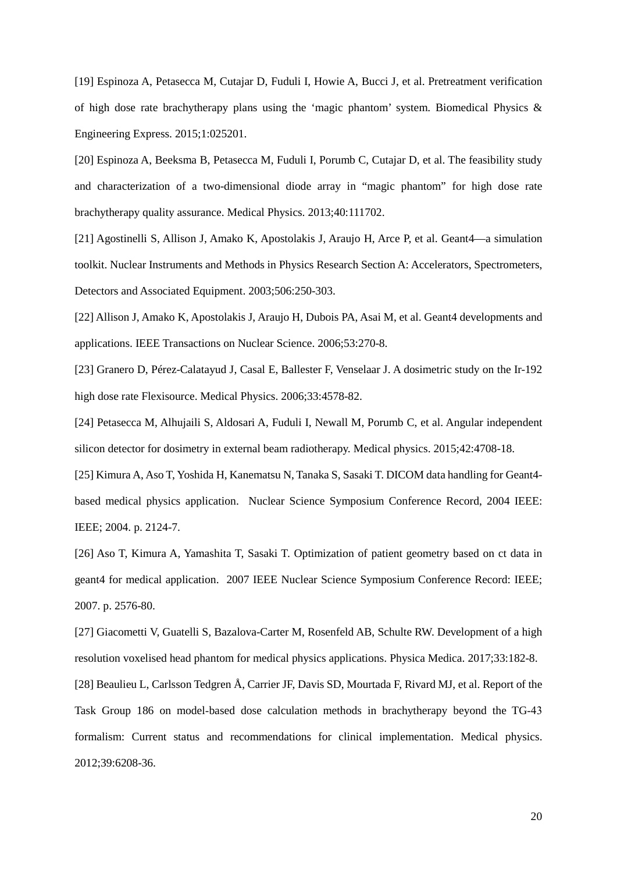<span id="page-21-7"></span>[19] Espinoza A, Petasecca M, Cutajar D, Fuduli I, Howie A, Bucci J, et al. Pretreatment verification of high dose rate brachytherapy plans using the 'magic phantom' system. Biomedical Physics & Engineering Express. 2015;1:025201.

[20] Espinoza A, Beeksma B, Petasecca M, Fuduli I, Porumb C, Cutajar D, et al. The feasibility study and characterization of a two-dimensional diode array in "magic phantom" for high dose rate brachytherapy quality assurance. Medical Physics. 2013;40:111702.

<span id="page-21-0"></span>[21] Agostinelli S, Allison J, Amako K, Apostolakis J, Araujo H, Arce P, et al. Geant4—a simulation toolkit. Nuclear Instruments and Methods in Physics Research Section A: Accelerators, Spectrometers, Detectors and Associated Equipment. 2003;506:250-303.

<span id="page-21-1"></span>[22] Allison J, Amako K, Apostolakis J, Araujo H, Dubois PA, Asai M, et al. Geant4 developments and applications. IEEE Transactions on Nuclear Science. 2006;53:270-8.

<span id="page-21-2"></span>[23] Granero D, Pérez-Calatayud J, Casal E, Ballester F, Venselaar J. A dosimetric study on the Ir-192 high dose rate Flexisource. Medical Physics. 2006;33:4578-82.

<span id="page-21-3"></span>[24] Petasecca M, Alhujaili S, Aldosari A, Fuduli I, Newall M, Porumb C, et al. Angular independent silicon detector for dosimetry in external beam radiotherapy. Medical physics. 2015;42:4708-18.

<span id="page-21-4"></span>[25] Kimura A, Aso T, Yoshida H, Kanematsu N, Tanaka S, Sasaki T. DICOM data handling for Geant4 based medical physics application. Nuclear Science Symposium Conference Record, 2004 IEEE: IEEE; 2004. p. 2124-7.

[26] Aso T, Kimura A, Yamashita T, Sasaki T. Optimization of patient geometry based on ct data in geant4 for medical application. 2007 IEEE Nuclear Science Symposium Conference Record: IEEE; 2007. p. 2576-80.

<span id="page-21-5"></span>[27] Giacometti V, Guatelli S, Bazalova-Carter M, Rosenfeld AB, Schulte RW. Development of a high resolution voxelised head phantom for medical physics applications. Physica Medica. 2017;33:182-8.

<span id="page-21-6"></span>[28] Beaulieu L, Carlsson Tedgren Å, Carrier JF, Davis SD, Mourtada F, Rivard MJ, et al. Report of the Task Group 186 on model‐based dose calculation methods in brachytherapy beyond the TG‐43 formalism: Current status and recommendations for clinical implementation. Medical physics. 2012;39:6208-36.